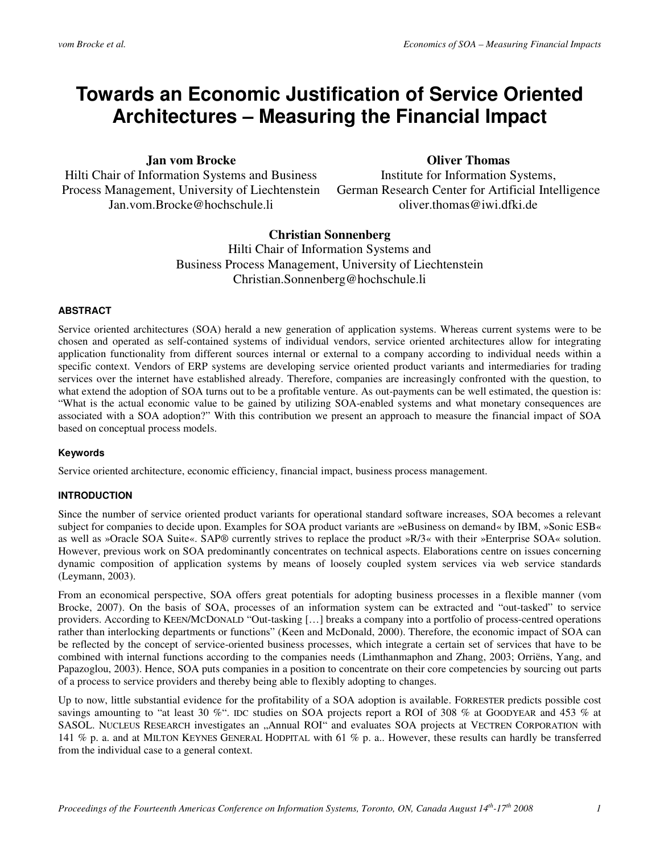# **Towards an Economic Justification of Service Oriented Architectures – Measuring the Financial Impact**

**Jan vom Brocke** 

Hilti Chair of Information Systems and Business Process Management, University of Liechtenstein Jan.vom.Brocke@hochschule.li

**Oliver Thomas** 

Institute for Information Systems, German Research Center for Artificial Intelligence oliver.thomas@iwi.dfki.de

## **Christian Sonnenberg**

Hilti Chair of Information Systems and Business Process Management, University of Liechtenstein Christian.Sonnenberg@hochschule.li

## **ABSTRACT**

Service oriented architectures (SOA) herald a new generation of application systems. Whereas current systems were to be chosen and operated as self-contained systems of individual vendors, service oriented architectures allow for integrating application functionality from different sources internal or external to a company according to individual needs within a specific context. Vendors of ERP systems are developing service oriented product variants and intermediaries for trading services over the internet have established already. Therefore, companies are increasingly confronted with the question, to what extend the adoption of SOA turns out to be a profitable venture. As out-payments can be well estimated, the question is: "What is the actual economic value to be gained by utilizing SOA-enabled systems and what monetary consequences are associated with a SOA adoption?" With this contribution we present an approach to measure the financial impact of SOA based on conceptual process models.

## **Keywords**

Service oriented architecture, economic efficiency, financial impact, business process management.

## **INTRODUCTION**

Since the number of service oriented product variants for operational standard software increases, SOA becomes a relevant subject for companies to decide upon. Examples for SOA product variants are »eBusiness on demand« by IBM, »Sonic ESB« as well as »Oracle SOA Suite«. SAP® currently strives to replace the product »R/3« with their »Enterprise SOA« solution. However, previous work on SOA predominantly concentrates on technical aspects. Elaborations centre on issues concerning dynamic composition of application systems by means of loosely coupled system services via web service standards (Leymann, 2003).

From an economical perspective, SOA offers great potentials for adopting business processes in a flexible manner (vom Brocke, 2007). On the basis of SOA, processes of an information system can be extracted and "out-tasked" to service providers. According to KEEN/MCDONALD "Out-tasking […] breaks a company into a portfolio of process-centred operations rather than interlocking departments or functions" (Keen and McDonald, 2000). Therefore, the economic impact of SOA can be reflected by the concept of service-oriented business processes, which integrate a certain set of services that have to be combined with internal functions according to the companies needs (Limthanmaphon and Zhang, 2003; Orriëns, Yang, and Papazoglou, 2003). Hence, SOA puts companies in a position to concentrate on their core competencies by sourcing out parts of a process to service providers and thereby being able to flexibly adopting to changes.

Up to now, little substantial evidence for the profitability of a SOA adoption is available. FORRESTER predicts possible cost savings amounting to "at least 30 %". IDC studies on SOA projects report a ROI of 308 % at GOODYEAR and 453 % at SASOL. NUCLEUS RESEARCH investigates an "Annual ROI" and evaluates SOA projects at VECTREN CORPORATION with 141 % p. a. and at MILTON KEYNES GENERAL HODPITAL with 61 % p. a.. However, these results can hardly be transferred from the individual case to a general context.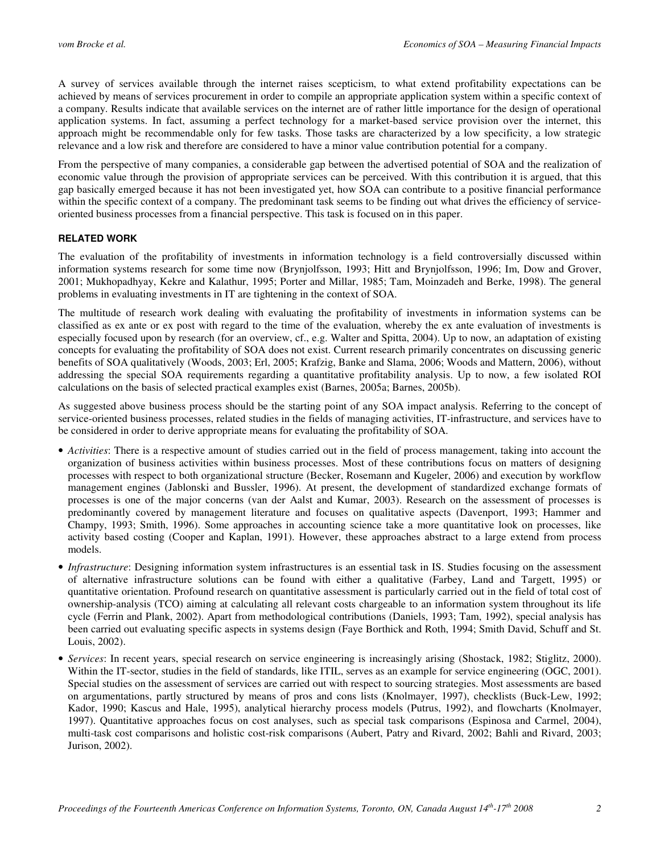A survey of services available through the internet raises scepticism, to what extend profitability expectations can be achieved by means of services procurement in order to compile an appropriate application system within a specific context of a company. Results indicate that available services on the internet are of rather little importance for the design of operational application systems. In fact, assuming a perfect technology for a market-based service provision over the internet, this approach might be recommendable only for few tasks. Those tasks are characterized by a low specificity, a low strategic relevance and a low risk and therefore are considered to have a minor value contribution potential for a company.

From the perspective of many companies, a considerable gap between the advertised potential of SOA and the realization of economic value through the provision of appropriate services can be perceived. With this contribution it is argued, that this gap basically emerged because it has not been investigated yet, how SOA can contribute to a positive financial performance within the specific context of a company. The predominant task seems to be finding out what drives the efficiency of serviceoriented business processes from a financial perspective. This task is focused on in this paper.

#### **RELATED WORK**

The evaluation of the profitability of investments in information technology is a field controversially discussed within information systems research for some time now (Brynjolfsson, 1993; Hitt and Brynjolfsson, 1996; Im, Dow and Grover, 2001; Mukhopadhyay, Kekre and Kalathur, 1995; Porter and Millar, 1985; Tam, Moinzadeh and Berke, 1998). The general problems in evaluating investments in IT are tightening in the context of SOA.

The multitude of research work dealing with evaluating the profitability of investments in information systems can be classified as ex ante or ex post with regard to the time of the evaluation, whereby the ex ante evaluation of investments is especially focused upon by research (for an overview, cf., e.g. Walter and Spitta, 2004). Up to now, an adaptation of existing concepts for evaluating the profitability of SOA does not exist. Current research primarily concentrates on discussing generic benefits of SOA qualitatively (Woods, 2003; Erl, 2005; Krafzig, Banke and Slama, 2006; Woods and Mattern, 2006), without addressing the special SOA requirements regarding a quantitative profitability analysis. Up to now, a few isolated ROI calculations on the basis of selected practical examples exist (Barnes, 2005a; Barnes, 2005b).

As suggested above business process should be the starting point of any SOA impact analysis. Referring to the concept of service-oriented business processes, related studies in the fields of managing activities, IT-infrastructure, and services have to be considered in order to derive appropriate means for evaluating the profitability of SOA.

- *Activities*: There is a respective amount of studies carried out in the field of process management, taking into account the organization of business activities within business processes. Most of these contributions focus on matters of designing processes with respect to both organizational structure (Becker, Rosemann and Kugeler, 2006) and execution by workflow management engines (Jablonski and Bussler, 1996). At present, the development of standardized exchange formats of processes is one of the major concerns (van der Aalst and Kumar, 2003). Research on the assessment of processes is predominantly covered by management literature and focuses on qualitative aspects (Davenport, 1993; Hammer and Champy, 1993; Smith, 1996). Some approaches in accounting science take a more quantitative look on processes, like activity based costing (Cooper and Kaplan, 1991). However, these approaches abstract to a large extend from process models.
- *Infrastructure*: Designing information system infrastructures is an essential task in IS. Studies focusing on the assessment of alternative infrastructure solutions can be found with either a qualitative (Farbey, Land and Targett, 1995) or quantitative orientation. Profound research on quantitative assessment is particularly carried out in the field of total cost of ownership-analysis (TCO) aiming at calculating all relevant costs chargeable to an information system throughout its life cycle (Ferrin and Plank, 2002). Apart from methodological contributions (Daniels, 1993; Tam, 1992), special analysis has been carried out evaluating specific aspects in systems design (Faye Borthick and Roth, 1994; Smith David, Schuff and St. Louis, 2002).
- *Services*: In recent years, special research on service engineering is increasingly arising (Shostack, 1982; Stiglitz, 2000). Within the IT-sector, studies in the field of standards, like ITIL, serves as an example for service engineering (OGC, 2001). Special studies on the assessment of services are carried out with respect to sourcing strategies. Most assessments are based on argumentations, partly structured by means of pros and cons lists (Knolmayer, 1997), checklists (Buck-Lew, 1992; Kador, 1990; Kascus and Hale, 1995), analytical hierarchy process models (Putrus, 1992), and flowcharts (Knolmayer, 1997). Quantitative approaches focus on cost analyses, such as special task comparisons (Espinosa and Carmel, 2004), multi-task cost comparisons and holistic cost-risk comparisons (Aubert, Patry and Rivard, 2002; Bahli and Rivard, 2003; Jurison, 2002).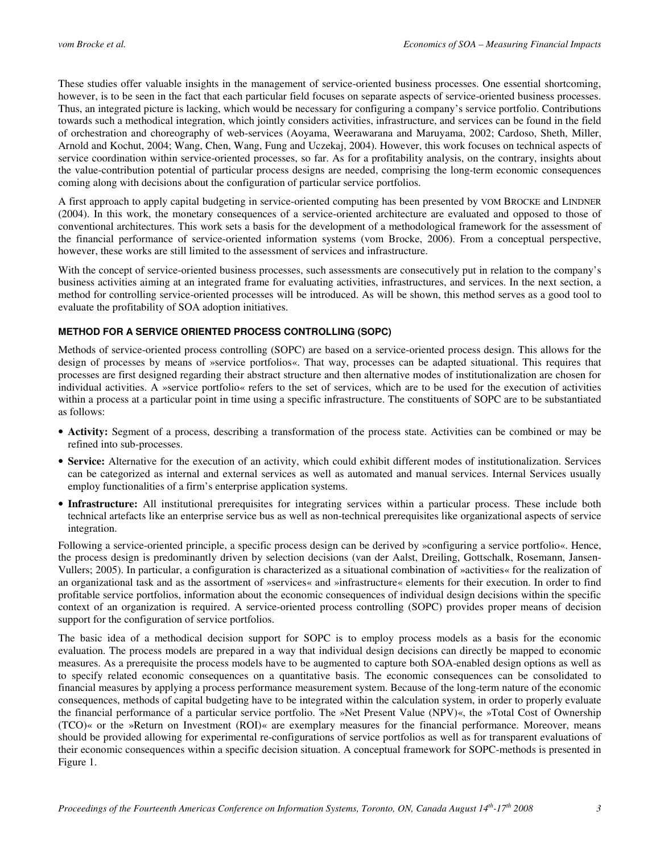These studies offer valuable insights in the management of service-oriented business processes. One essential shortcoming, however, is to be seen in the fact that each particular field focuses on separate aspects of service-oriented business processes. Thus, an integrated picture is lacking, which would be necessary for configuring a company's service portfolio. Contributions towards such a methodical integration, which jointly considers activities, infrastructure, and services can be found in the field of orchestration and choreography of web-services (Aoyama, Weerawarana and Maruyama, 2002; Cardoso, Sheth, Miller, Arnold and Kochut, 2004; Wang, Chen, Wang, Fung and Uczekaj, 2004). However, this work focuses on technical aspects of service coordination within service-oriented processes, so far. As for a profitability analysis, on the contrary, insights about the value-contribution potential of particular process designs are needed, comprising the long-term economic consequences coming along with decisions about the configuration of particular service portfolios.

A first approach to apply capital budgeting in service-oriented computing has been presented by VOM BROCKE and LINDNER (2004). In this work, the monetary consequences of a service-oriented architecture are evaluated and opposed to those of conventional architectures. This work sets a basis for the development of a methodological framework for the assessment of the financial performance of service-oriented information systems (vom Brocke, 2006). From a conceptual perspective, however, these works are still limited to the assessment of services and infrastructure.

With the concept of service-oriented business processes, such assessments are consecutively put in relation to the company's business activities aiming at an integrated frame for evaluating activities, infrastructures, and services. In the next section, a method for controlling service-oriented processes will be introduced. As will be shown, this method serves as a good tool to evaluate the profitability of SOA adoption initiatives.

## **METHOD FOR A SERVICE ORIENTED PROCESS CONTROLLING (SOPC)**

Methods of service-oriented process controlling (SOPC) are based on a service-oriented process design. This allows for the design of processes by means of »service portfolios«. That way, processes can be adapted situational. This requires that processes are first designed regarding their abstract structure and then alternative modes of institutionalization are chosen for individual activities. A »service portfolio« refers to the set of services, which are to be used for the execution of activities within a process at a particular point in time using a specific infrastructure. The constituents of SOPC are to be substantiated as follows:

- **Activity:** Segment of a process, describing a transformation of the process state. Activities can be combined or may be refined into sub-processes.
- **Service:** Alternative for the execution of an activity, which could exhibit different modes of institutionalization. Services can be categorized as internal and external services as well as automated and manual services. Internal Services usually employ functionalities of a firm's enterprise application systems.
- **Infrastructure:** All institutional prerequisites for integrating services within a particular process. These include both technical artefacts like an enterprise service bus as well as non-technical prerequisites like organizational aspects of service integration.

Following a service-oriented principle, a specific process design can be derived by »configuring a service portfolio«. Hence, the process design is predominantly driven by selection decisions (van der Aalst, Dreiling, Gottschalk, Rosemann, Jansen-Vullers; 2005). In particular, a configuration is characterized as a situational combination of »activities« for the realization of an organizational task and as the assortment of »services« and »infrastructure« elements for their execution. In order to find profitable service portfolios, information about the economic consequences of individual design decisions within the specific context of an organization is required. A service-oriented process controlling (SOPC) provides proper means of decision support for the configuration of service portfolios.

The basic idea of a methodical decision support for SOPC is to employ process models as a basis for the economic evaluation. The process models are prepared in a way that individual design decisions can directly be mapped to economic measures. As a prerequisite the process models have to be augmented to capture both SOA-enabled design options as well as to specify related economic consequences on a quantitative basis. The economic consequences can be consolidated to financial measures by applying a process performance measurement system. Because of the long-term nature of the economic consequences, methods of capital budgeting have to be integrated within the calculation system, in order to properly evaluate the financial performance of a particular service portfolio. The »Net Present Value (NPV)«, the »Total Cost of Ownership (TCO)« or the »Return on Investment (ROI)« are exemplary measures for the financial performance. Moreover, means should be provided allowing for experimental re-configurations of service portfolios as well as for transparent evaluations of their economic consequences within a specific decision situation. A conceptual framework for SOPC-methods is presented in Figure 1.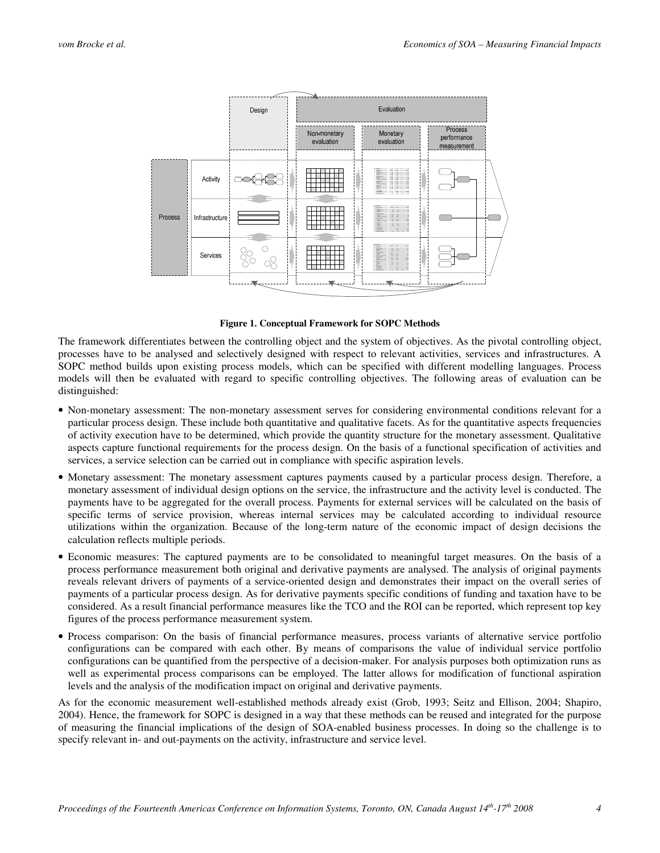

**Figure 1. Conceptual Framework for SOPC Methods** 

The framework differentiates between the controlling object and the system of objectives. As the pivotal controlling object, processes have to be analysed and selectively designed with respect to relevant activities, services and infrastructures. A SOPC method builds upon existing process models, which can be specified with different modelling languages. Process models will then be evaluated with regard to specific controlling objectives. The following areas of evaluation can be distinguished:

- Non-monetary assessment: The non-monetary assessment serves for considering environmental conditions relevant for a particular process design. These include both quantitative and qualitative facets. As for the quantitative aspects frequencies of activity execution have to be determined, which provide the quantity structure for the monetary assessment. Qualitative aspects capture functional requirements for the process design. On the basis of a functional specification of activities and services, a service selection can be carried out in compliance with specific aspiration levels.
- Monetary assessment: The monetary assessment captures payments caused by a particular process design. Therefore, a monetary assessment of individual design options on the service, the infrastructure and the activity level is conducted. The payments have to be aggregated for the overall process. Payments for external services will be calculated on the basis of specific terms of service provision, whereas internal services may be calculated according to individual resource utilizations within the organization. Because of the long-term nature of the economic impact of design decisions the calculation reflects multiple periods.
- Economic measures: The captured payments are to be consolidated to meaningful target measures. On the basis of a process performance measurement both original and derivative payments are analysed. The analysis of original payments reveals relevant drivers of payments of a service-oriented design and demonstrates their impact on the overall series of payments of a particular process design. As for derivative payments specific conditions of funding and taxation have to be considered. As a result financial performance measures like the TCO and the ROI can be reported, which represent top key figures of the process performance measurement system.
- Process comparison: On the basis of financial performance measures, process variants of alternative service portfolio configurations can be compared with each other. By means of comparisons the value of individual service portfolio configurations can be quantified from the perspective of a decision-maker. For analysis purposes both optimization runs as well as experimental process comparisons can be employed. The latter allows for modification of functional aspiration levels and the analysis of the modification impact on original and derivative payments.

As for the economic measurement well-established methods already exist (Grob, 1993; Seitz and Ellison, 2004; Shapiro, 2004). Hence, the framework for SOPC is designed in a way that these methods can be reused and integrated for the purpose of measuring the financial implications of the design of SOA-enabled business processes. In doing so the challenge is to specify relevant in- and out-payments on the activity, infrastructure and service level.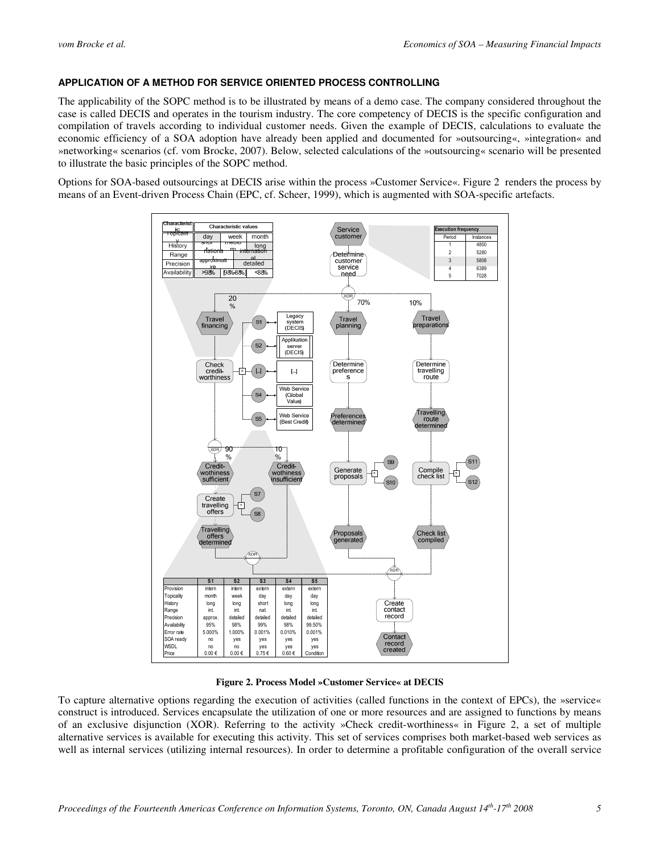## **APPLICATION OF A METHOD FOR SERVICE ORIENTED PROCESS CONTROLLING**

The applicability of the SOPC method is to be illustrated by means of a demo case. The company considered throughout the case is called DECIS and operates in the tourism industry. The core competency of DECIS is the specific configuration and compilation of travels according to individual customer needs. Given the example of DECIS, calculations to evaluate the economic efficiency of a SOA adoption have already been applied and documented for »outsourcing«, »integration« and »networking« scenarios (cf. vom Brocke, 2007). Below, selected calculations of the »outsourcing« scenario will be presented to illustrate the basic principles of the SOPC method.

Options for SOA-based outsourcings at DECIS arise within the process »Customer Service«. Figure 2 renders the process by means of an Event-driven Process Chain (EPC, cf. Scheer, 1999), which is augmented with SOA-specific artefacts.



**Figure 2. Process Model »Customer Service« at DECIS**

To capture alternative options regarding the execution of activities (called functions in the context of EPCs), the »service« construct is introduced. Services encapsulate the utilization of one or more resources and are assigned to functions by means of an exclusive disjunction (XOR). Referring to the activity »Check credit-worthiness« in Figure 2, a set of multiple alternative services is available for executing this activity. This set of services comprises both market-based web services as well as internal services (utilizing internal resources). In order to determine a profitable configuration of the overall service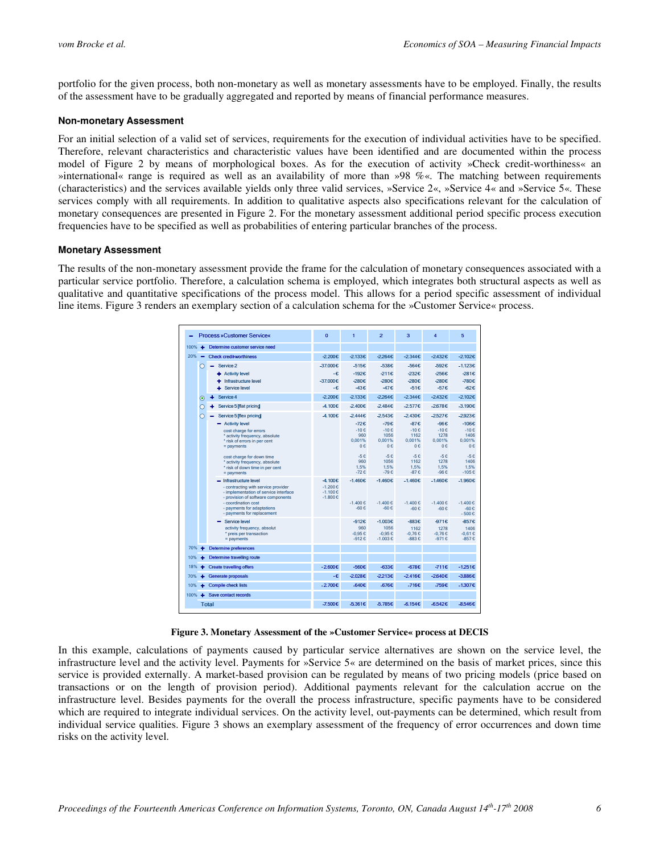portfolio for the given process, both non-monetary as well as monetary assessments have to be employed. Finally, the results of the assessment have to be gradually aggregated and reported by means of financial performance measures.

#### **Non-monetary Assessment**

For an initial selection of a valid set of services, requirements for the execution of individual activities have to be specified. Therefore, relevant characteristics and characteristic values have been identified and are documented within the process model of Figure 2 by means of morphological boxes. As for the execution of activity »Check credit-worthiness« an »international« range is required as well as an availability of more than »98 %«. The matching between requirements (characteristics) and the services available yields only three valid services, »Service 2«, »Service 4« and »Service 5«. These services comply with all requirements. In addition to qualitative aspects also specifications relevant for the calculation of monetary consequences are presented in Figure 2. For the monetary assessment additional period specific process execution frequencies have to be specified as well as probabilities of entering particular branches of the process.

#### **Monetary Assessment**

The results of the non-monetary assessment provide the frame for the calculation of monetary consequences associated with a particular service portfolio. Therefore, a calculation schema is employed, which integrates both structural aspects as well as qualitative and quantitative specifications of the process model. This allows for a period specific assessment of individual line items. Figure 3 renders an exemplary section of a calculation schema for the »Customer Service« process.

|           | <b>Process »Customer Service«</b>                                                                                                                                                                                                                                                                                                                                                                                                                 | $\overline{0}$                                          | 1                                                                                                            | $\overline{2}$                                                                                                           | 3                                                                                                               | 4                                                                                                                     | 5                                                                                                                           |
|-----------|---------------------------------------------------------------------------------------------------------------------------------------------------------------------------------------------------------------------------------------------------------------------------------------------------------------------------------------------------------------------------------------------------------------------------------------------------|---------------------------------------------------------|--------------------------------------------------------------------------------------------------------------|--------------------------------------------------------------------------------------------------------------------------|-----------------------------------------------------------------------------------------------------------------|-----------------------------------------------------------------------------------------------------------------------|-----------------------------------------------------------------------------------------------------------------------------|
| 100%      | Determine customer service need                                                                                                                                                                                                                                                                                                                                                                                                                   |                                                         |                                                                                                              |                                                                                                                          |                                                                                                                 |                                                                                                                       |                                                                                                                             |
| 20%       | <b>Check credit-worthiness</b>                                                                                                                                                                                                                                                                                                                                                                                                                    | -2.200€                                                 | -2.133€                                                                                                      | $-2264E$                                                                                                                 | $-2.344E$                                                                                                       | $-2.432€$                                                                                                             | -2.102€                                                                                                                     |
| С         | Service 2<br>+ Activity level<br>Infrastructure level<br>Service level                                                                                                                                                                                                                                                                                                                                                                            | -37.000€<br>-€<br>-37.000€<br>-€                        | -515€<br>-192€<br>-280€<br>-43€                                                                              | -538€<br>-211€<br>-280€<br>$-47E$                                                                                        | -564€<br>-232€<br>-280€<br>-51€                                                                                 | -592€<br>-256€<br>-280€<br>-57€                                                                                       | $-1.123€$<br>-281€<br>-780€<br>-62€                                                                                         |
| $\odot$   | Service 4<br>۰                                                                                                                                                                                                                                                                                                                                                                                                                                    | $-2.200€$                                               | $-2.133E$                                                                                                    | $-2264E$                                                                                                                 | $-2.344E$                                                                                                       | $-2.432€$                                                                                                             | $-2.102€$                                                                                                                   |
| ∩         | Service 5 [flat pricing]<br>۰                                                                                                                                                                                                                                                                                                                                                                                                                     | -4.100€                                                 | -2.400€                                                                                                      | -2.484€                                                                                                                  | $-2.577€$                                                                                                       | -2.678€                                                                                                               | -3.190€                                                                                                                     |
| ∩         | Service 5 [flex pricing]<br>- Activity level<br>cost charge for errors<br>* activity frequency, absolute<br>* risk of errors in per cent<br>$=$ payments<br>cost charge for down time<br>* activity frequency, absolute<br>* risk of down time in per cent<br>$=$ payments<br>- Infrastructure level<br>- contracting with service provider<br>- implementation of service interface<br>- provision of software components<br>- coordination cost | -4.100€<br>-4.100€<br>$-1,200f$<br>$-1.100E$<br>-1.800€ | $-2.444E$<br>-72€<br>$-10E$<br>960<br>0.001%<br>0€<br>$-5E$<br>960<br>1,5%<br>$-72E$<br>-1.460€<br>$-1.400E$ | -2.543€<br>-79€<br>$-10f$<br>1056<br>0.001%<br>0 <sub>0</sub><br>$-5E$<br>1056<br>1.5%<br>$-79E$<br>-1.460€<br>$-1.400E$ | $-2.430€$<br>-87€<br>$-10E$<br>1162<br>0.001%<br>0 <sub>0</sub><br>$-5E$<br>1162<br>1.5%<br>$-87E$<br>$-1.460€$ | -2.527€<br>-96€<br>$-10f$<br>1278<br>0.001%<br>0 <sub>0</sub><br>$-5E$<br>1278<br>1.5%<br>-96 $\epsilon$<br>$-1.460€$ | -2.923€<br>$-106E$<br>$-10E$<br>1406<br>0.001%<br>0 <sub>0</sub><br>$-5E$<br>1406<br>1.5%<br>$-105E$<br>-1.960€<br>$-1400E$ |
|           | - payments for adaptations<br>- payments for replacement                                                                                                                                                                                                                                                                                                                                                                                          |                                                         | $-60f$                                                                                                       | $-60f$                                                                                                                   | $-1400E$<br>$-60E$                                                                                              | $-1.400E$<br>-60 $\varepsilon$                                                                                        | $-60C$<br>$-500E$                                                                                                           |
|           | Service level<br>activity frequency, absolut<br>* preis per transaction<br>$=$ payments                                                                                                                                                                                                                                                                                                                                                           |                                                         | -912€<br>960<br>$-0.95E$<br>$-912E$                                                                          | $-1.003€$<br>1056<br>$-0.95E$<br>$-1.003E$                                                                               | -883€<br>1162<br>-0.76€<br>$-883E$                                                                              | -971€<br>1278<br>$-0.76E$<br>$-971E$                                                                                  | -857€<br>1406<br>-0.61 $€$<br>$-857E$                                                                                       |
| 70%<br>4  | <b>Determine preferences</b>                                                                                                                                                                                                                                                                                                                                                                                                                      |                                                         |                                                                                                              |                                                                                                                          |                                                                                                                 |                                                                                                                       |                                                                                                                             |
| 10%<br>٠  | Determine travelling route                                                                                                                                                                                                                                                                                                                                                                                                                        |                                                         |                                                                                                              |                                                                                                                          |                                                                                                                 |                                                                                                                       |                                                                                                                             |
| 18%       | <b>Create travelling offers</b>                                                                                                                                                                                                                                                                                                                                                                                                                   | $-2.600E$                                               | -560€                                                                                                        | -633€                                                                                                                    | -678€                                                                                                           | $-711E$                                                                                                               | $-1.251E$                                                                                                                   |
| 70%<br>۰  | Generate proposals                                                                                                                                                                                                                                                                                                                                                                                                                                | $-E$                                                    | -2.028€                                                                                                      | $-2213E$                                                                                                                 | $-2.416€$                                                                                                       | $-2.640€$                                                                                                             | $-3.886E$                                                                                                                   |
| 10%       | <b>Compile check lists</b>                                                                                                                                                                                                                                                                                                                                                                                                                        | $-2.700E$                                               | -640€                                                                                                        | -676€                                                                                                                    | -716€                                                                                                           | -759€                                                                                                                 | -1.307€                                                                                                                     |
| $100\% +$ | Save contact records                                                                                                                                                                                                                                                                                                                                                                                                                              |                                                         |                                                                                                              |                                                                                                                          |                                                                                                                 |                                                                                                                       |                                                                                                                             |
|           | <b>Total</b>                                                                                                                                                                                                                                                                                                                                                                                                                                      | $-7.500€$                                               | -5.361€                                                                                                      | $-5.785€$                                                                                                                | $-6.154E$                                                                                                       | $-6.542 \epsilon$                                                                                                     | $-8.546E$                                                                                                                   |

**Figure 3. Monetary Assessment of the »Customer Service« process at DECIS** 

In this example, calculations of payments caused by particular service alternatives are shown on the service level, the infrastructure level and the activity level. Payments for »Service 5« are determined on the basis of market prices, since this service is provided externally. A market-based provision can be regulated by means of two pricing models (price based on transactions or on the length of provision period). Additional payments relevant for the calculation accrue on the infrastructure level. Besides payments for the overall the process infrastructure, specific payments have to be considered which are required to integrate individual services. On the activity level, out-payments can be determined, which result from individual service qualities. Figure 3 shows an exemplary assessment of the frequency of error occurrences and down time risks on the activity level.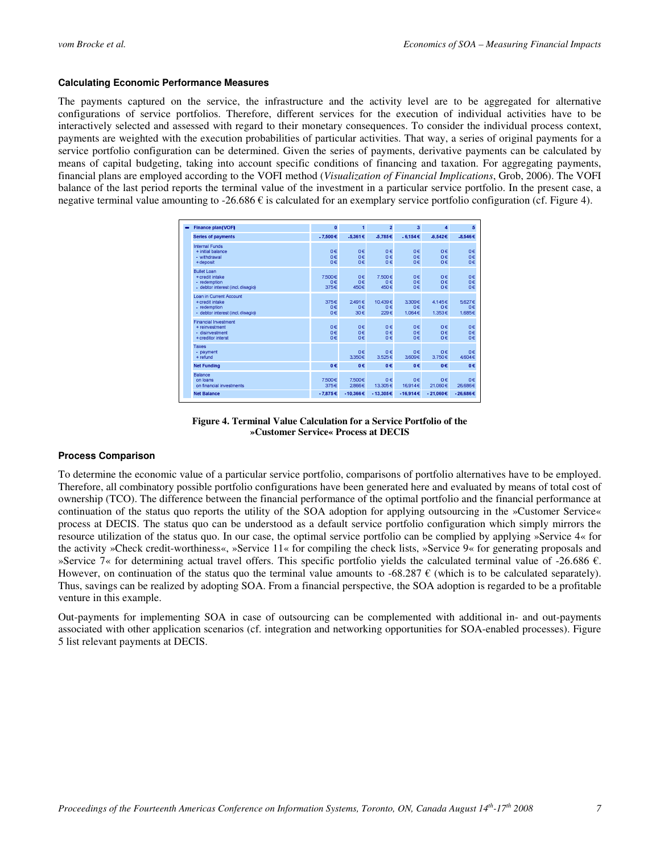#### **Calculating Economic Performance Measures**

The payments captured on the service, the infrastructure and the activity level are to be aggregated for alternative configurations of service portfolios. Therefore, different services for the execution of individual activities have to be interactively selected and assessed with regard to their monetary consequences. To consider the individual process context, payments are weighted with the execution probabilities of particular activities. That way, a series of original payments for a service portfolio configuration can be determined. Given the series of payments, derivative payments can be calculated by means of capital budgeting, taking into account specific conditions of financing and taxation. For aggregating payments, financial plans are employed according to the VOFI method (*Visualization of Financial Implications*, Grob, 2006). The VOFI balance of the last period reports the terminal value of the investment in a particular service portfolio. In the present case, a negative terminal value amounting to -26.686  $\epsilon$  is calculated for an exemplary service portfolio configuration (cf. Figure 4).

| Finance plan (VOFI)                                                                             | $\mathbf{0}$         | $\mathbf{1}$          | $\overline{2}$        | $\overline{\mathbf{3}}$ | 4                      | 5                          |
|-------------------------------------------------------------------------------------------------|----------------------|-----------------------|-----------------------|-------------------------|------------------------|----------------------------|
| <b>Series of payments</b>                                                                       | $-7.500E$            | -5.361€               | $-5.785€$             | $-6.154 \in$            | $-6.542C$              | -8.546€                    |
| <b>Internal Funds</b><br>+ initial balance<br>- withdrawal<br>+ deposit                         | 0€<br>o€<br>0€       | 0€<br>$0 \in$<br>0€   | 0€<br>$0 \in$<br>0€   | o€<br>o€<br>o€          | 0€<br>$0 \in$<br>0€    | 0€<br>0€<br>o€             |
| <b>Bullet Loan</b><br>+ credit intake<br>- redemption<br>- debtor interest (incl. disagio)      | 7.500€<br>o€<br>375€ | 0€<br>$0 \in$<br>450€ | 7.500€<br>0€<br>450€  | o€<br>o€<br>o€          | 0€<br>$0 \in$<br>0€    | 0 <sub>6</sub><br>o€<br>0€ |
| Loan in Current Account<br>+ credit intake<br>- redemption<br>- debtor interest (incl. disagio) | 375€<br>0€<br>o€     | 2491E<br>0€<br>30€    | 10.439€<br>0€<br>229€ | 3.309€<br>o€<br>1.064€  | 4.145€<br>o€<br>1.353€ | 5.627€<br>0€<br>1.685€     |
| <b>Financial Investment</b><br>+ reinvestment<br>- disinvestment<br>+ creditor interst          | 0€<br>o€<br>0€       | 0€<br>$0 \in$<br>0€   | 0€<br>0€<br>0€        | o€<br>o€<br>o€          | 0€<br>$0 \in$<br>0€    | 0€<br>0€<br>o€             |
| Taxes<br>- payment<br>+ refund                                                                  |                      | 0€<br>3.350€          | 0€<br>3.525€          | o€<br>3.609€            | 0€<br>3.750€           | 0€<br>4.604 €              |
| <b>Net Funding</b>                                                                              | $0 \in$              | 0€                    | $0 \in$               | 0€                      | 0 <sub>e</sub>         | $0 \in$                    |
| Balance<br>on loans<br>on financial investments                                                 | 7.500€<br>375€       | 7.500€<br>2.866E      | 0€<br>13.305€         | o€<br>16.914€           | 0€<br>21.060€          | 0€<br>26,686€              |
| <b>Net Balance</b>                                                                              | $-7.875E$            | $-10.366€$            | $-13.305€$            | $-16.914C$              | $-21.060C$             | $-26.686€$                 |

**Figure 4. Terminal Value Calculation for a Service Portfolio of the »Customer Service« Process at DECIS** 

## **Process Comparison**

To determine the economic value of a particular service portfolio, comparisons of portfolio alternatives have to be employed. Therefore, all combinatory possible portfolio configurations have been generated here and evaluated by means of total cost of ownership (TCO). The difference between the financial performance of the optimal portfolio and the financial performance at continuation of the status quo reports the utility of the SOA adoption for applying outsourcing in the »Customer Service« process at DECIS. The status quo can be understood as a default service portfolio configuration which simply mirrors the resource utilization of the status quo. In our case, the optimal service portfolio can be complied by applying »Service 4« for the activity »Check credit-worthiness«, »Service 11« for compiling the check lists, »Service 9« for generating proposals and »Service 7« for determining actual travel offers. This specific portfolio yields the calculated terminal value of -26.686  $\epsilon$ . However, on continuation of the status quo the terminal value amounts to -68.287  $\epsilon$  (which is to be calculated separately). Thus, savings can be realized by adopting SOA. From a financial perspective, the SOA adoption is regarded to be a profitable venture in this example.

Out-payments for implementing SOA in case of outsourcing can be complemented with additional in- and out-payments associated with other application scenarios (cf. integration and networking opportunities for SOA-enabled processes). Figure 5 list relevant payments at DECIS.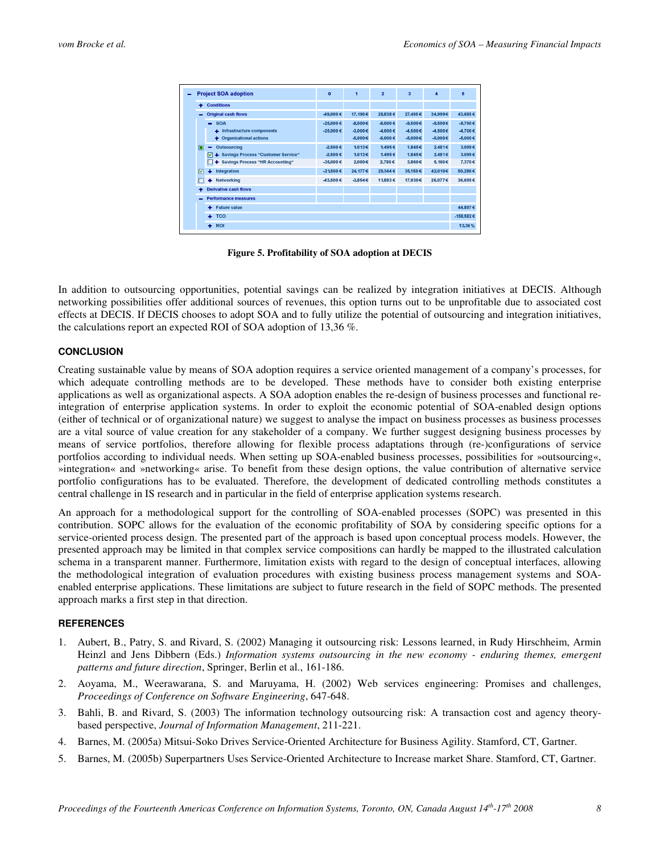|    | <b>Project SOA adoption</b>                                                                               | $\bf{0}$                            | 1                                   | $\overline{2}$                        | 3                                      | 4                                   | 6                                       |
|----|-----------------------------------------------------------------------------------------------------------|-------------------------------------|-------------------------------------|---------------------------------------|----------------------------------------|-------------------------------------|-----------------------------------------|
| ۰  | <b>Conditions</b>                                                                                         |                                     |                                     |                                       |                                        |                                     |                                         |
|    | <b>Original cash flows</b>                                                                                | $-49,000€$                          | 17.190€                             | 28,838€                               | 27,495€                                | 34.999€                             | 43,685€                                 |
|    | $-$ SOA<br>+ Infrastructure components<br><b>Organizational actions</b><br>٠                              | $-25.000 \in$<br>$-25,000 \in$      | $-8.000E$<br>$-3.000E$<br>$-5.000€$ | $-9.000 \in$<br>$-4,000€$<br>-5,000 € | $-9.500 E$<br>-4.500 €<br>$-5.000 \in$ | $-9.500 E$<br>$-4.500E$<br>-5,000 € | $-9.700 \in$<br>-4.700€<br>$-5.000 \in$ |
| п  | <b>Outsourcing</b><br>-<br>4 Savings Process "Customer Service"<br>☑<br>+ Savings Process "HR Accounting" | -2.500 €<br>$-2.500E$<br>$-35,000€$ | 1.013€<br>1.013€<br>2.000€          | 1.495€<br>1.495€<br>2.780€            | 1.845€<br>1.845 €<br>3.860 E           | 2.481€<br>2.481€<br>5.160€          | 3.099 E<br>3.099€<br>7.370€             |
| ا⊽ | ۰<br><b>Integration</b>                                                                                   | $-21,500 \in$                       | 24.177€                             | 29.344 €                              | 35,150€                                | 42.010€                             | 50.286€                                 |
|    | <b>Networking</b><br>۰                                                                                    | -43,500€                            | $-3.854 \in$                        | 11.893€                               | 17,930€                                | 26.077€                             | 36,695€                                 |
|    | <b>Derivative cash flows</b>                                                                              |                                     |                                     |                                       |                                        |                                     |                                         |
|    | <b>Performance measures</b>                                                                               |                                     |                                     |                                       |                                        |                                     |                                         |
|    | <b>Future value</b><br>٠                                                                                  |                                     |                                     |                                       |                                        |                                     | 44.897€                                 |
|    | ÷<br><b>TCO</b>                                                                                           |                                     |                                     |                                       |                                        |                                     | $-158.582€$                             |
|    | ٠<br><b>ROI</b>                                                                                           |                                     |                                     |                                       |                                        |                                     | 13.36%                                  |

**Figure 5. Profitability of SOA adoption at DECIS** 

In addition to outsourcing opportunities, potential savings can be realized by integration initiatives at DECIS. Although networking possibilities offer additional sources of revenues, this option turns out to be unprofitable due to associated cost effects at DECIS. If DECIS chooses to adopt SOA and to fully utilize the potential of outsourcing and integration initiatives, the calculations report an expected ROI of SOA adoption of 13,36 %.

#### **CONCLUSION**

Creating sustainable value by means of SOA adoption requires a service oriented management of a company's processes, for which adequate controlling methods are to be developed. These methods have to consider both existing enterprise applications as well as organizational aspects. A SOA adoption enables the re-design of business processes and functional reintegration of enterprise application systems. In order to exploit the economic potential of SOA-enabled design options (either of technical or of organizational nature) we suggest to analyse the impact on business processes as business processes are a vital source of value creation for any stakeholder of a company. We further suggest designing business processes by means of service portfolios, therefore allowing for flexible process adaptations through (re-)configurations of service portfolios according to individual needs. When setting up SOA-enabled business processes, possibilities for »outsourcing«, »integration« and »networking« arise. To benefit from these design options, the value contribution of alternative service portfolio configurations has to be evaluated. Therefore, the development of dedicated controlling methods constitutes a central challenge in IS research and in particular in the field of enterprise application systems research.

An approach for a methodological support for the controlling of SOA-enabled processes (SOPC) was presented in this contribution. SOPC allows for the evaluation of the economic profitability of SOA by considering specific options for a service-oriented process design. The presented part of the approach is based upon conceptual process models. However, the presented approach may be limited in that complex service compositions can hardly be mapped to the illustrated calculation schema in a transparent manner. Furthermore, limitation exists with regard to the design of conceptual interfaces, allowing the methodological integration of evaluation procedures with existing business process management systems and SOAenabled enterprise applications. These limitations are subject to future research in the field of SOPC methods. The presented approach marks a first step in that direction.

## **REFERENCES**

- 1. Aubert, B., Patry, S. and Rivard, S. (2002) Managing it outsourcing risk: Lessons learned, in Rudy Hirschheim, Armin Heinzl and Jens Dibbern (Eds.) *Information systems outsourcing in the new economy - enduring themes, emergent patterns and future direction*, Springer, Berlin et al., 161-186.
- 2. Aoyama, M., Weerawarana, S. and Maruyama, H. (2002) Web services engineering: Promises and challenges, *Proceedings of Conference on Software Engineering*, 647-648.
- 3. Bahli, B. and Rivard, S. (2003) The information technology outsourcing risk: A transaction cost and agency theorybased perspective, *Journal of Information Management*, 211-221.
- 4. Barnes, M. (2005a) Mitsui-Soko Drives Service-Oriented Architecture for Business Agility. Stamford, CT, Gartner.
- 5. Barnes, M. (2005b) Superpartners Uses Service-Oriented Architecture to Increase market Share. Stamford, CT, Gartner.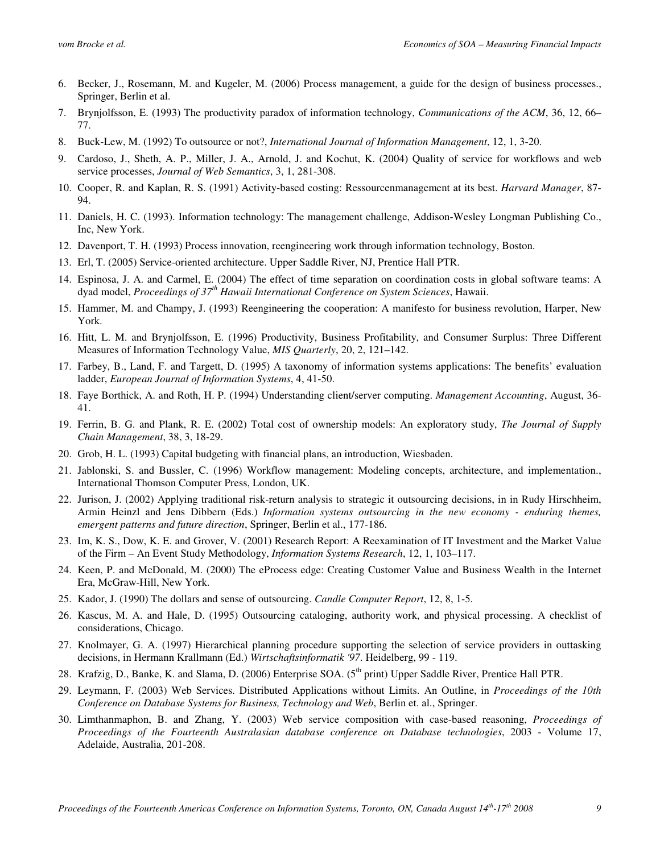- 6. Becker, J., Rosemann, M. and Kugeler, M. (2006) Process management, a guide for the design of business processes., Springer, Berlin et al.
- 7. Brynjolfsson, E. (1993) The productivity paradox of information technology, *Communications of the ACM*, 36, 12, 66– 77.
- 8. Buck-Lew, M. (1992) To outsource or not?, *International Journal of Information Management*, 12, 1, 3-20.
- 9. Cardoso, J., Sheth, A. P., Miller, J. A., Arnold, J. and Kochut, K. (2004) Quality of service for workflows and web service processes, *Journal of Web Semantics*, 3, 1, 281-308.
- 10. Cooper, R. and Kaplan, R. S. (1991) Activity-based costing: Ressourcenmanagement at its best. *Harvard Manager*, 87- 94.
- 11. Daniels, H. C. (1993). Information technology: The management challenge, Addison-Wesley Longman Publishing Co., Inc, New York.
- 12. Davenport, T. H. (1993) Process innovation, reengineering work through information technology, Boston.
- 13. Erl, T. (2005) Service-oriented architecture. Upper Saddle River, NJ, Prentice Hall PTR.
- 14. Espinosa, J. A. and Carmel, E. (2004) The effect of time separation on coordination costs in global software teams: A dyad model, *Proceedings of 37th Hawaii International Conference on System Sciences*, Hawaii.
- 15. Hammer, M. and Champy, J. (1993) Reengineering the cooperation: A manifesto for business revolution, Harper, New York.
- 16. Hitt, L. M. and Brynjolfsson, E. (1996) Productivity, Business Profitability, and Consumer Surplus: Three Different Measures of Information Technology Value, *MIS Quarterly*, 20, 2, 121–142.
- 17. Farbey, B., Land, F. and Targett, D. (1995) A taxonomy of information systems applications: The benefits' evaluation ladder, *European Journal of Information Systems*, 4, 41-50.
- 18. Faye Borthick, A. and Roth, H. P. (1994) Understanding client/server computing. *Management Accounting*, August, 36- 41.
- 19. Ferrin, B. G. and Plank, R. E. (2002) Total cost of ownership models: An exploratory study, *The Journal of Supply Chain Management*, 38, 3, 18-29.
- 20. Grob, H. L. (1993) Capital budgeting with financial plans, an introduction, Wiesbaden.
- 21. Jablonski, S. and Bussler, C. (1996) Workflow management: Modeling concepts, architecture, and implementation., International Thomson Computer Press, London, UK.
- 22. Jurison, J. (2002) Applying traditional risk-return analysis to strategic it outsourcing decisions, in in Rudy Hirschheim, Armin Heinzl and Jens Dibbern (Eds.) *Information systems outsourcing in the new economy - enduring themes, emergent patterns and future direction*, Springer, Berlin et al., 177-186.
- 23. Im, K. S., Dow, K. E. and Grover, V. (2001) Research Report: A Reexamination of IT Investment and the Market Value of the Firm – An Event Study Methodology, *Information Systems Research*, 12, 1, 103–117.
- 24. Keen, P. and McDonald, M. (2000) The eProcess edge: Creating Customer Value and Business Wealth in the Internet Era, McGraw-Hill, New York.
- 25. Kador, J. (1990) The dollars and sense of outsourcing. *Candle Computer Report*, 12, 8, 1-5.
- 26. Kascus, M. A. and Hale, D. (1995) Outsourcing cataloging, authority work, and physical processing. A checklist of considerations, Chicago.
- 27. Knolmayer, G. A. (1997) Hierarchical planning procedure supporting the selection of service providers in outtasking decisions, in Hermann Krallmann (Ed.) *Wirtschaftsinformatik '97*. Heidelberg, 99 - 119.
- 28. Krafzig, D., Banke, K. and Slama, D. (2006) Enterprise SOA. (5<sup>th</sup> print) Upper Saddle River, Prentice Hall PTR.
- 29. Leymann, F. (2003) Web Services. Distributed Applications without Limits. An Outline, in *Proceedings of the 10th Conference on Database Systems for Business, Technology and Web*, Berlin et. al., Springer.
- 30. Limthanmaphon, B. and Zhang, Y. (2003) Web service composition with case-based reasoning, *Proceedings of Proceedings of the Fourteenth Australasian database conference on Database technologies*, 2003 - Volume 17, Adelaide, Australia, 201-208.